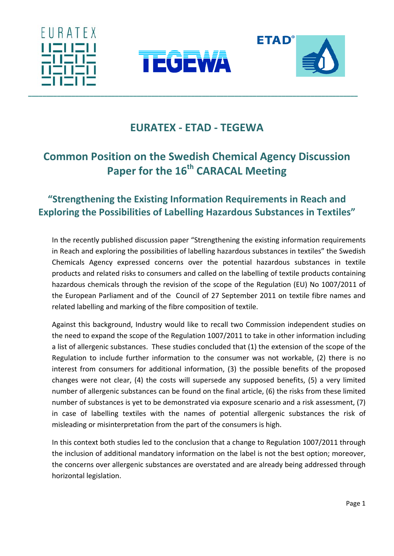





## **EURATEX ‐ ETAD ‐ TEGEWA**

**\_\_\_\_\_\_\_\_\_\_\_\_\_\_\_\_\_\_\_\_\_\_\_\_\_\_\_\_\_\_\_\_\_\_\_\_\_\_\_\_\_\_\_\_\_\_\_\_\_\_\_\_\_\_\_\_\_\_\_\_\_\_\_\_\_\_\_\_\_\_\_\_\_\_\_\_\_\_\_\_\_\_\_\_\_\_\_\_\_\_\_**

# **Common Position on the Swedish Chemical Agency Discussion Paper for the 16<sup>th</sup> CARACAL Meeting**

## **"Strengthening the Existing Information Requirements in Reach and Exploring the Possibilities of Labelling Hazardous Substances in Textiles"**

In the recently published discussion paper "Strengthening the existing information requirements in Reach and exploring the possibilities of labelling hazardous substances in textiles" the Swedish Chemicals Agency expressed concerns over the potential hazardous substances in textile products and related risks to consumers and called on the labelling of textile products containing hazardous chemicals through the revision of the scope of the Regulation (EU) No 1007/2011 of the European Parliament and of the Council of 27 September 2011 on textile fibre names and related labelling and marking of the fibre composition of textile.

Against this background, Industry would like to recall two Commission independent studies on the need to expand the scope of the Regulation 1007/2011 to take in other information including a list of allergenic substances. These studies concluded that (1) the extension of the scope of the Regulation to include further information to the consumer was not workable, (2) there is no interest from consumers for additional information, (3) the possible benefits of the proposed changes were not clear, (4) the costs will supersede any supposed benefits, (5) a very limited number of allergenic substances can be found on the final article, (6) the risks from these limited number of substances is yet to be demonstrated via exposure scenario and a risk assessment, (7) in case of labelling textiles with the names of potential allergenic substances the risk of misleading or misinterpretation from the part of the consumers is high.

In this context both studies led to the conclusion that a change to Regulation 1007/2011 through the inclusion of additional mandatory information on the label is not the best option; moreover, the concerns over allergenic substances are overstated and are already being addressed through horizontal legislation.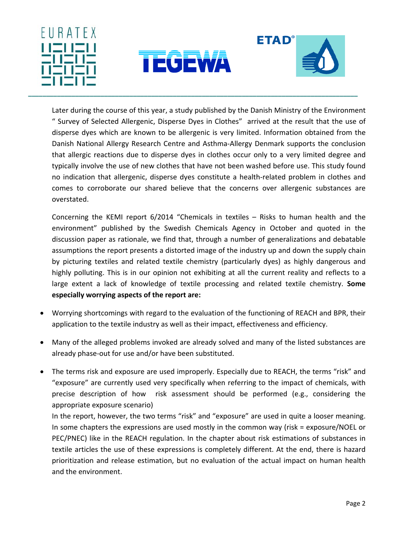





Later during the course of this year, a study published by the Danish Ministry of the Environment " Survey of Selected Allergenic, Disperse Dyes in Clothes" arrived at the result that the use of disperse dyes which are known to be allergenic is very limited. Information obtained from the Danish National Allergy Research Centre and Asthma‐Allergy Denmark supports the conclusion that allergic reactions due to disperse dyes in clothes occur only to a very limited degree and typically involve the use of new clothes that have not been washed before use. This study found no indication that allergenic, disperse dyes constitute a health‐related problem in clothes and comes to corroborate our shared believe that the concerns over allergenic substances are overstated.

Concerning the KEMI report 6/2014 "Chemicals in textiles – Risks to human health and the environment" published by the Swedish Chemicals Agency in October and quoted in the discussion paper as rationale, we find that, through a number of generalizations and debatable assumptions the report presents a distorted image of the industry up and down the supply chain by picturing textiles and related textile chemistry (particularly dyes) as highly dangerous and highly polluting. This is in our opinion not exhibiting at all the current reality and reflects to a large extent a lack of knowledge of textile processing and related textile chemistry. **Some especially worrying aspects of the report are:**

- Worrying shortcomings with regard to the evaluation of the functioning of REACH and BPR, their application to the textile industry as well as their impact, effectiveness and efficiency.
- Many of the alleged problems invoked are already solved and many of the listed substances are already phase‐out for use and/or have been substituted.
- The terms risk and exposure are used improperly. Especially due to REACH, the terms "risk" and "exposure" are currently used very specifically when referring to the impact of chemicals, with precise description of how risk assessment should be performed (e.g., considering the appropriate exposure scenario)

In the report, however, the two terms "risk" and "exposure" are used in quite a looser meaning. In some chapters the expressions are used mostly in the common way (risk = exposure/NOEL or PEC/PNEC) like in the REACH regulation. In the chapter about risk estimations of substances in textile articles the use of these expressions is completely different. At the end, there is hazard prioritization and release estimation, but no evaluation of the actual impact on human health and the environment.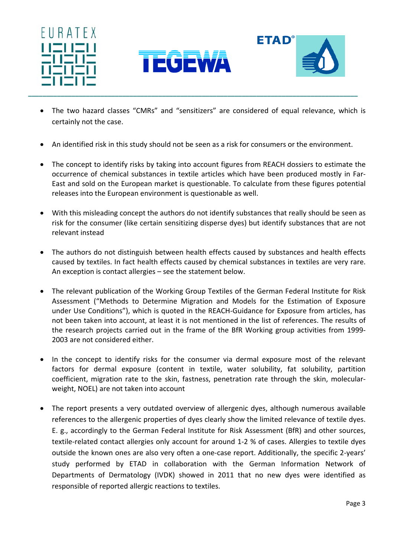





- The two hazard classes "CMRs" and "sensitizers" are considered of equal relevance, which is certainly not the case.
- An identified risk in this study should not be seen as a risk for consumers or the environment.
- The concept to identify risks by taking into account figures from REACH dossiers to estimate the occurrence of chemical substances in textile articles which have been produced mostly in Far‐ East and sold on the European market is questionable. To calculate from these figures potential releases into the European environment is questionable as well.
- With this misleading concept the authors do not identify substances that really should be seen as risk for the consumer (like certain sensitizing disperse dyes) but identify substances that are not relevant instead
- The authors do not distinguish between health effects caused by substances and health effects caused by textiles. In fact health effects caused by chemical substances in textiles are very rare. An exception is contact allergies – see the statement below.
- The relevant publication of the Working Group Textiles of the German Federal Institute for Risk Assessment ("Methods to Determine Migration and Models for the Estimation of Exposure under Use Conditions"), which is quoted in the REACH‐Guidance for Exposure from articles, has not been taken into account, at least it is not mentioned in the list of references. The results of the research projects carried out in the frame of the BfR Working group activities from 1999‐ 2003 are not considered either.
- In the concept to identify risks for the consumer via dermal exposure most of the relevant factors for dermal exposure (content in textile, water solubility, fat solubility, partition coefficient, migration rate to the skin, fastness, penetration rate through the skin, molecular‐ weight, NOEL) are not taken into account
- The report presents a very outdated overview of allergenic dyes, although numerous available references to the allergenic properties of dyes clearly show the limited relevance of textile dyes. E. g., accordingly to the German Federal Institute for Risk Assessment (BfR) and other sources, textile-related contact allergies only account for around 1-2 % of cases. Allergies to textile dyes outside the known ones are also very often a one‐case report. Additionally, the specific 2‐years' study performed by ETAD in collaboration with the German Information Network of Departments of Dermatology (IVDK) showed in 2011 that no new dyes were identified as responsible of reported allergic reactions to textiles.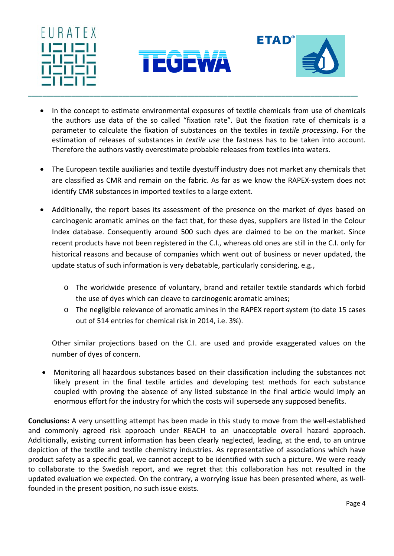





- In the concept to estimate environmental exposures of textile chemicals from use of chemicals the authors use data of the so called "fixation rate". But the fixation rate of chemicals is a parameter to calculate the fixation of substances on the textiles in *textile processing*. For the estimation of releases of substances in *textile use* the fastness has to be taken into account. Therefore the authors vastly overestimate probable releases from textiles into waters.
- The European textile auxiliaries and textile dyestuff industry does not market any chemicals that are classified as CMR and remain on the fabric. As far as we know the RAPEX‐system does not identify CMR substances in imported textiles to a large extent.
- Additionally, the report bases its assessment of the presence on the market of dyes based on carcinogenic aromatic amines on the fact that, for these dyes, suppliers are listed in the Colour Index database. Consequently around 500 such dyes are claimed to be on the market. Since recent products have not been registered in the C.I., whereas old ones are still in the C.I. only for historical reasons and because of companies which went out of business or never updated, the update status of such information is very debatable, particularly considering, e.g.,
	- o The worldwide presence of voluntary, brand and retailer textile standards which forbid the use of dyes which can cleave to carcinogenic aromatic amines;
	- o The negligible relevance of aromatic amines in the RAPEX report system (to date 15 cases out of 514 entries for chemical risk in 2014, i.e. 3%).

Other similar projections based on the C.I. are used and provide exaggerated values on the number of dyes of concern.

 Monitoring all hazardous substances based on their classification including the substances not likely present in the final textile articles and developing test methods for each substance coupled with proving the absence of any listed substance in the final article would imply an enormous effort for the industry for which the costs will supersede any supposed benefits.

**Conclusions:** A very unsettling attempt has been made in this study to move from the well‐established and commonly agreed risk approach under REACH to an unacceptable overall hazard approach. Additionally, existing current information has been clearly neglected, leading, at the end, to an untrue depiction of the textile and textile chemistry industries. As representative of associations which have product safety as a specific goal, we cannot accept to be identified with such a picture. We were ready to collaborate to the Swedish report, and we regret that this collaboration has not resulted in the updated evaluation we expected. On the contrary, a worrying issue has been presented where, as well‐ founded in the present position, no such issue exists.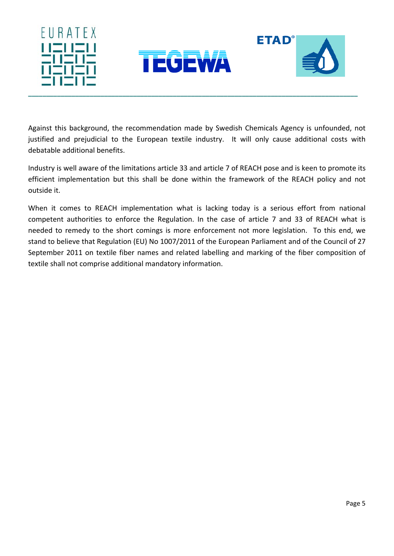





Against this background, the recommendation made by Swedish Chemicals Agency is unfounded, not justified and prejudicial to the European textile industry. It will only cause additional costs with debatable additional benefits.

**\_\_\_\_\_\_\_\_\_\_\_\_\_\_\_\_\_\_\_\_\_\_\_\_\_\_\_\_\_\_\_\_\_\_\_\_\_\_\_\_\_\_\_\_\_\_\_\_\_\_\_\_\_\_\_\_\_\_\_\_\_\_\_\_\_\_\_\_\_\_\_\_\_\_\_\_\_\_\_\_\_\_\_\_\_\_\_\_\_\_\_**

Industry is well aware of the limitations article 33 and article 7 of REACH pose and is keen to promote its efficient implementation but this shall be done within the framework of the REACH policy and not outside it.

When it comes to REACH implementation what is lacking today is a serious effort from national competent authorities to enforce the Regulation. In the case of article 7 and 33 of REACH what is needed to remedy to the short comings is more enforcement not more legislation. To this end, we stand to believe that Regulation (EU) No 1007/2011 of the European Parliament and of the Council of 27 September 2011 on textile fiber names and related labelling and marking of the fiber composition of textile shall not comprise additional mandatory information.